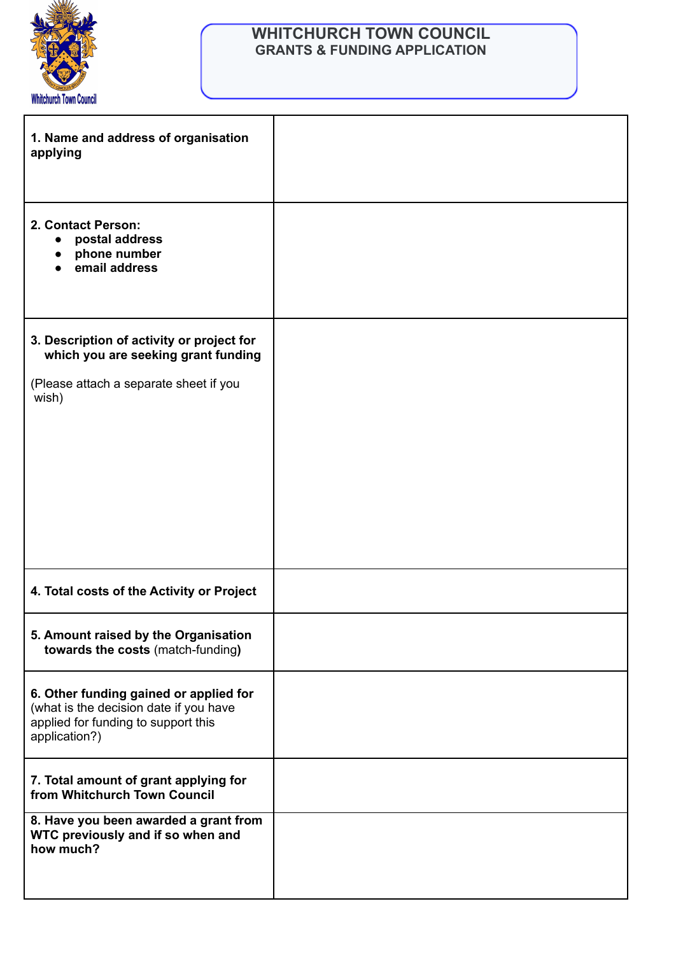

## **WHITCHURCH TOWN COUNCIL GRANTS & FUNDING APPLICATION**